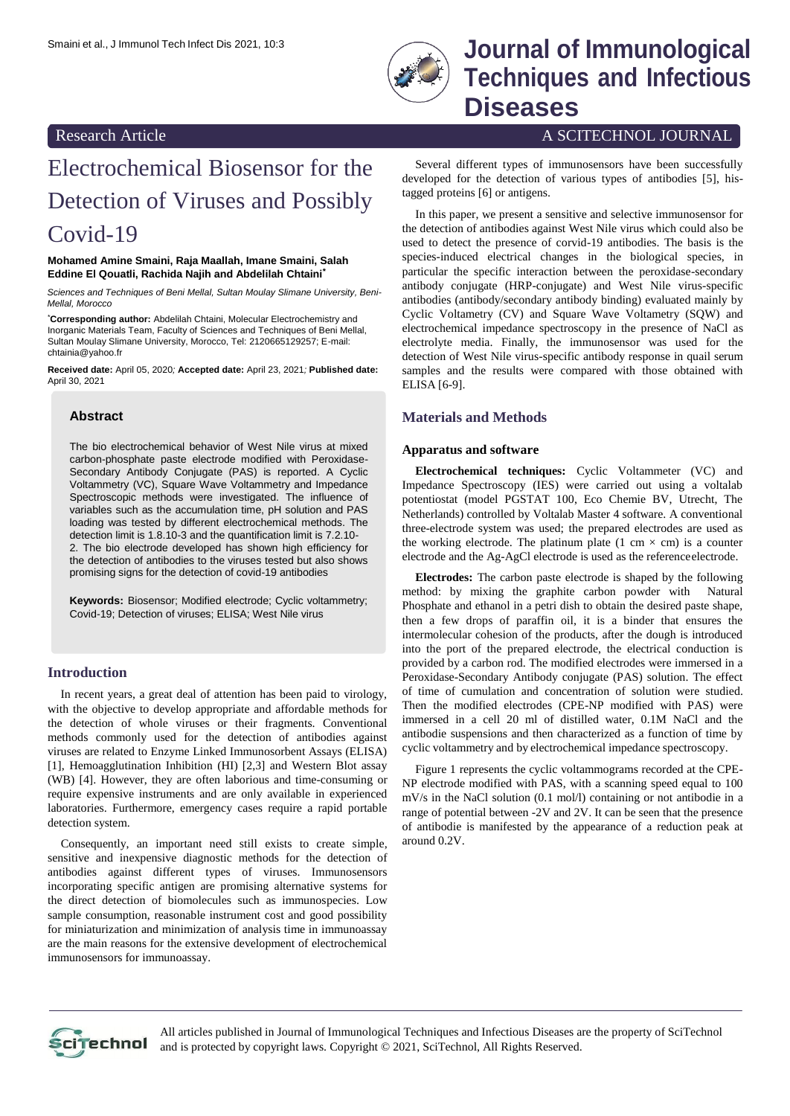

## Smaini et al., J Immunol Tech Infect Dis 2021, 10:3 **Journal of Immunological Techniques and Infectious Diseases**

## Research Article A SCITECHNOL JOURNAL

# Electrochemical Biosensor for the Detection of Viruses and Possibly Covid-19

#### **Mohamed Amine Smaini, Raja Maallah, Imane Smaini, Salah Eddine El Qouatli, Rachida Najih and Abdelilah Chtaini\***

*Sciences and Techniques of Beni Mellal, Sultan Moulay Slimane University, Beni-Mellal, Morocco*

\***Corresponding author:** Abdelilah Chtaini, Molecular Electrochemistry and Inorganic Materials Team, Faculty of Sciences and Techniques of Beni Mellal, Sultan Moulay Slimane University, Morocco, Tel: 2120665129257; E-mail: [chtainia@yahoo.fr](mailto:chtainia@yahoo.fr)

**Received date:** April 05, 2020*;* **Accepted date:** April 23, 2021*;* **Published date:** April 30, 2021

#### **Abstract**

The bio electrochemical behavior of West Nile virus at mixed carbon-phosphate paste electrode modified with Peroxidase-Secondary Antibody Conjugate (PAS) is reported. A Cyclic Voltammetry (VC), Square Wave Voltammetry and Impedance Spectroscopic methods were investigated. The influence of variables such as the accumulation time, pH solution and PAS loading was tested by different electrochemical methods. The detection limit is 1.8.10-3 and the quantification limit is 7.2.10- 2. The bio electrode developed has shown high efficiency for the detection of antibodies to the viruses tested but also shows promising signs for the detection of covid-19 antibodies

**Keywords:** Biosensor; Modified electrode; Cyclic voltammetry; Covid-19; Detection of viruses; ELISA; West Nile virus

## **Introduction**

In recent years, a great deal of attention has been paid to virology, with the objective to develop appropriate and affordable methods for the detection of whole viruses or their fragments. Conventional methods commonly used for the detection of antibodies against viruses are related to Enzyme Linked Immunosorbent Assays (ELISA) [1], Hemoagglutination Inhibition (HI) [2,3] and Western Blot assay (WB) [4]. However, they are often laborious and time-consuming or require expensive instruments and are only available in experienced laboratories. Furthermore, emergency cases require a rapid portable detection system.

Consequently, an important need still exists to create simple, sensitive and inexpensive diagnostic methods for the detection of antibodies against different types of viruses. Immunosensors incorporating specific antigen are promising alternative systems for the direct detection of biomolecules such as immunospecies. Low sample consumption, reasonable instrument cost and good possibility for miniaturization and minimization of analysis time in immunoassay are the main reasons for the extensive development of electrochemical immunosensors for immunoassay.

Several different types of immunosensors have been successfully developed for the detection of various types of antibodies [5], histagged proteins [6] or antigens.

In this paper, we present a sensitive and selective immunosensor for the detection of antibodies against West Nile virus which could also be used to detect the presence of corvid-19 antibodies. The basis is the species-induced electrical changes in the biological species, in particular the specific interaction between the peroxidase-secondary antibody conjugate (HRP-conjugate) and West Nile virus-specific antibodies (antibody/secondary antibody binding) evaluated mainly by Cyclic Voltametry (CV) and Square Wave Voltametry (SQW) and electrochemical impedance spectroscopy in the presence of NaCl as electrolyte media. Finally, the immunosensor was used for the detection of West Nile virus-specific antibody response in quail serum samples and the results were compared with those obtained with ELISA [6-9].

## **Materials and Methods**

#### **Apparatus and software**

**Electrochemical techniques:** Cyclic Voltammeter (VC) and Impedance Spectroscopy (IES) were carried out using a voltalab potentiostat (model PGSTAT 100, Eco Chemie BV, Utrecht, The Netherlands) controlled by Voltalab Master 4 software. A conventional three-electrode system was used; the prepared electrodes are used as the working electrode. The platinum plate (1 cm  $\times$  cm) is a counter electrode and the Ag-AgCl electrode is used as the referenceelectrode.

**Electrodes:** The carbon paste electrode is shaped by the following method: by mixing the graphite carbon powder with Natural Phosphate and ethanol in a petri dish to obtain the desired paste shape, then a few drops of paraffin oil, it is a binder that ensures the intermolecular cohesion of the products, after the dough is introduced into the port of the prepared electrode, the electrical conduction is provided by a carbon rod. The modified electrodes were immersed in a Peroxidase-Secondary Antibody conjugate (PAS) solution. The effect of time of cumulation and concentration of solution were studied. Then the modified electrodes (CPE-NP modified with PAS) were immersed in a cell 20 ml of distilled water, 0.1M NaCl and the antibodie suspensions and then characterized as a function of time by cyclic voltammetry and by electrochemical impedance spectroscopy.

Figure 1 represents the cyclic voltammograms recorded at the CPE-NP electrode modified with PAS, with a scanning speed equal to 100 mV/s in the NaCl solution (0.1 mol/l) containing or not antibodie in a range of potential between -2V and 2V. It can be seen that the presence of antibodie is manifested by the appearance of a reduction peak at around 0.2V.



All articles published in Journal of Immunological Techniques and Infectious Diseases are the property of SciTechnol and is protected by copyright laws. Copyright © 2021, SciTechnol, All Rights Reserved.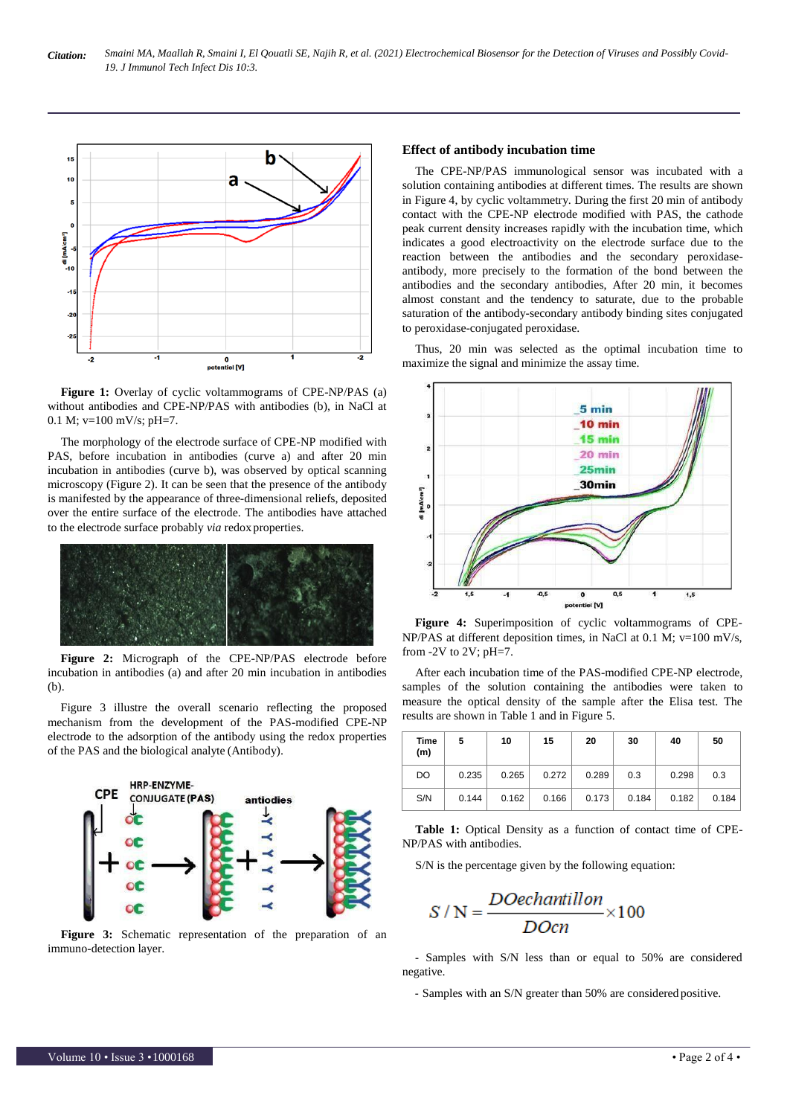

Figure 1: Overlay of cyclic voltammograms of CPE-NP/PAS (a) without antibodies and CPE-NP/PAS with antibodies (b), in NaCl at 0.1 M;  $v=100$  mV/s; pH=7.

The morphology of the electrode surface of CPE-NP modified with PAS, before incubation in antibodies (curve a) and after 20 min incubation in antibodies (curve b), was observed by optical scanning microscopy (Figure 2). It can be seen that the presence of the antibody is manifested by the appearance of three-dimensional reliefs, deposited over the entire surface of the electrode. The antibodies have attached to the electrode surface probably *via* redox properties.



**Figure 2:** Micrograph of the CPE-NP/PAS electrode before incubation in antibodies (a) and after 20 min incubation in antibodies (b).

Figure 3 illustre the overall scenario reflecting the proposed mechanism from the development of the PAS-modified CPE-NP electrode to the adsorption of the antibody using the redox properties of the PAS and the biological analyte (Antibody).



**Figure 3:** Schematic representation of the preparation of an immuno-detection layer.

## **Effect of antibody incubation time**

The CPE-NP/PAS immunological sensor was incubated with a solution containing antibodies at different times. The results are shown in Figure 4, by cyclic voltammetry. During the first 20 min of antibody contact with the CPE-NP electrode modified with PAS, the cathode peak current density increases rapidly with the incubation time, which indicates a good electroactivity on the electrode surface due to the reaction between the antibodies and the secondary peroxidaseantibody, more precisely to the formation of the bond between the antibodies and the secondary antibodies, After 20 min, it becomes almost constant and the tendency to saturate, due to the probable saturation of the antibody-secondary antibody binding sites conjugated to peroxidase-conjugated peroxidase.

Thus, 20 min was selected as the optimal incubation time to maximize the signal and minimize the assay time.



**Figure 4:** Superimposition of cyclic voltammograms of CPE-NP/PAS at different deposition times, in NaCl at 0.1 M; v=100 mV/s, from  $-2V$  to  $2V$ ;  $pH=7$ .

After each incubation time of the PAS-modified CPE-NP electrode, samples of the solution containing the antibodies were taken to measure the optical density of the sample after the Elisa test. The results are shown in Table 1 and in Figure 5.

| <b>Time</b><br>(m) | 5     | 10    | 15    | 20    | 30    | 40    | 50    |
|--------------------|-------|-------|-------|-------|-------|-------|-------|
| DO                 | 0.235 | 0.265 | 0.272 | 0.289 | 0.3   | 0.298 | 0.3   |
| S/N                | 0.144 | 0.162 | 0.166 | 0.173 | 0.184 | 0.182 | 0.184 |

**Table 1:** Optical Density as a function of contact time of CPE-NP/PAS with antibodies.

S/N is the percentage given by the following equation:

$$
S/N = \frac{DOechantillon}{DOcn} \times 100
$$

- Samples with S/N less than or equal to 50% are considered negative.

- Samples with an S/N greater than 50% are considered positive.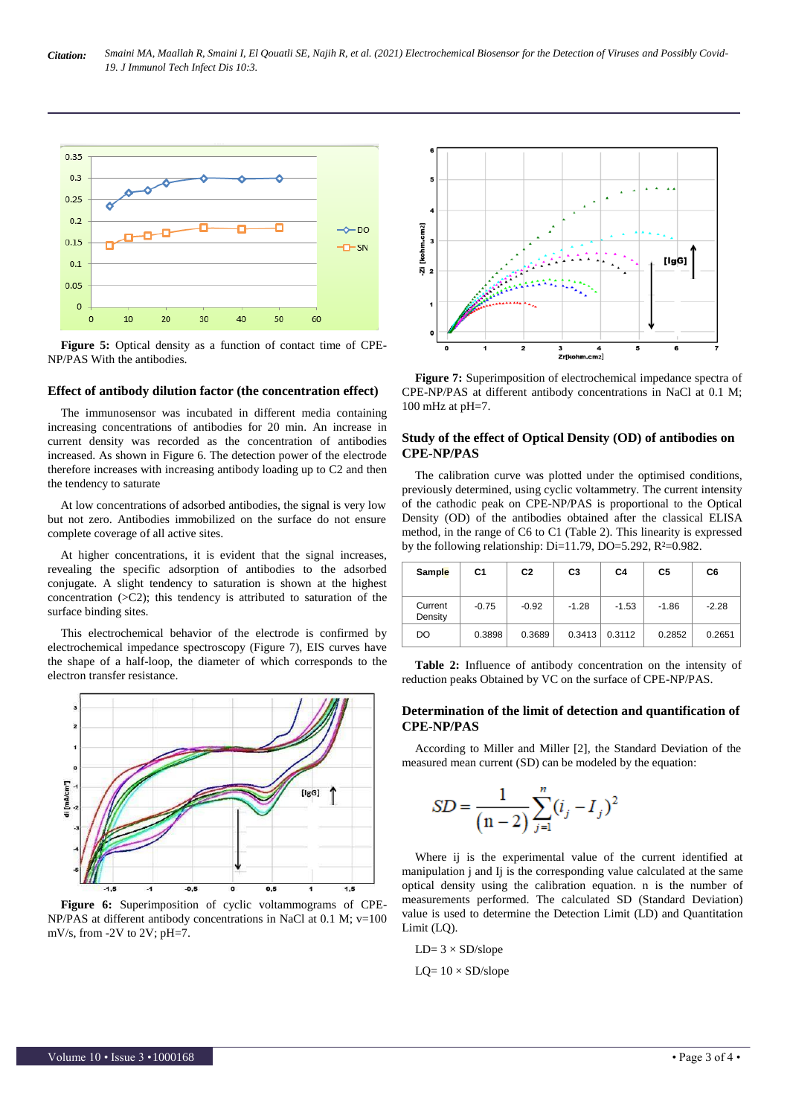

**Figure 5:** Optical density as a function of contact time of CPE-NP/PAS With the antibodies.

#### **Effect of antibody dilution factor (the concentration effect)**

The immunosensor was incubated in different media containing increasing concentrations of antibodies for 20 min. An increase in current density was recorded as the concentration of antibodies increased. As shown in Figure 6. The detection power of the electrode therefore increases with increasing antibody loading up to C2 and then the tendency to saturate

At low concentrations of adsorbed antibodies, the signal is very low but not zero. Antibodies immobilized on the surface do not ensure complete coverage of all active sites.

At higher concentrations, it is evident that the signal increases, revealing the specific adsorption of antibodies to the adsorbed conjugate. A slight tendency to saturation is shown at the highest concentration  $(>C2)$ ; this tendency is attributed to saturation of the surface binding sites.

This electrochemical behavior of the electrode is confirmed by electrochemical impedance spectroscopy (Figure 7), EIS curves have the shape of a half-loop, the diameter of which corresponds to the electron transfer resistance.



**Figure 6:** Superimposition of cyclic voltammograms of CPE-NP/PAS at different antibody concentrations in NaCl at 0.1 M; v=100 mV/s, from -2V to 2V; pH=7.



**Figure 7:** Superimposition of electrochemical impedance spectra of CPE-NP/PAS at different antibody concentrations in NaCl at 0.1 M; 100 mHz at pH=7.

### **Study of the effect of Optical Density (OD) of antibodies on CPE-NP/PAS**

The calibration curve was plotted under the optimised conditions, previously determined, using cyclic voltammetry. The current intensity of the cathodic peak on CPE-NP/PAS is proportional to the Optical Density (OD) of the antibodies obtained after the classical ELISA method, in the range of C6 to C1 (Table 2). This linearity is expressed by the following relationship: Di=11.79, DO=5.292, R²=0.982.

| Sample             | C <sub>1</sub> | C <sub>2</sub> | C <sub>3</sub> | C <sub>4</sub> | C <sub>5</sub> | C6      |
|--------------------|----------------|----------------|----------------|----------------|----------------|---------|
| Current<br>Density | $-0.75$        | $-0.92$        | $-1.28$        | $-1.53$        | $-1.86$        | $-2.28$ |
| DO                 | 0.3898         | 0.3689         | 0.3413         | 0.3112         | 0.2852         | 0.2651  |

**Table 2:** Influence of antibody concentration on the intensity of reduction peaks Obtained by VC on the surface of CPE-NP/PAS.

#### **Determination of the limit of detection and quantification of CPE-NP/PAS**

According to Miller and Miller [2], the Standard Deviation of the measured mean current (SD) can be modeled by the equation:

$$
SD = \frac{1}{(n-2)} \sum_{j=1}^{n} (i_j - I_j)^2
$$

Where ij is the experimental value of the current identified at manipulation j and Ij is the corresponding value calculated at the same optical density using the calibration equation. n is the number of measurements performed. The calculated SD (Standard Deviation) value is used to determine the Detection Limit (LD) and Quantitation Limit (LQ).

- $LD = 3 \times SD/slope$
- $LQ= 10 \times SD/slope$